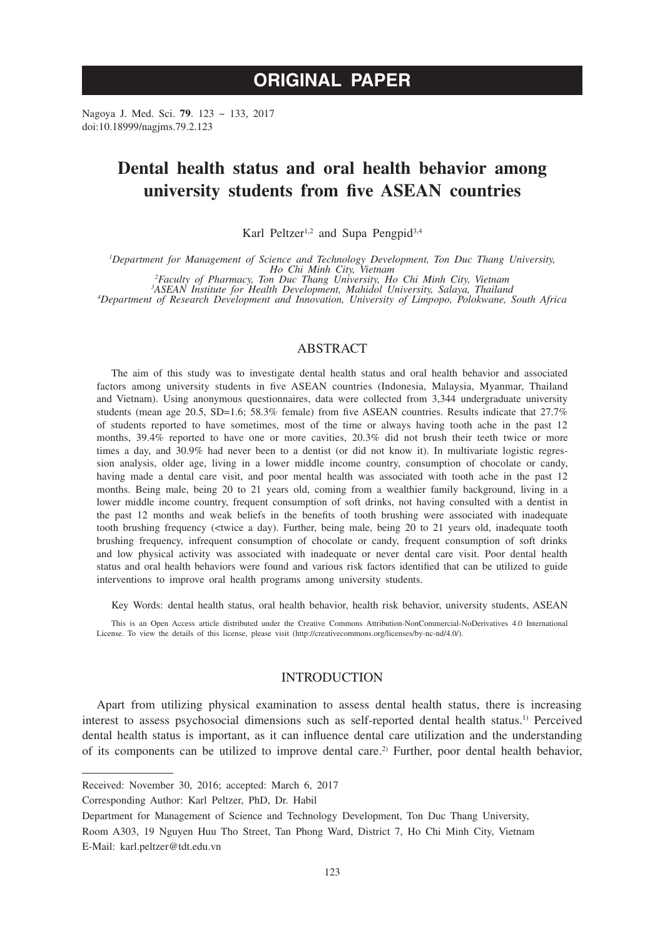# **ORIGINAL PAPER**

Nagoya J. Med. Sci. **79**. 123 ~ 133, 2017 doi:10.18999/nagjms.79.2.123

# **Dental health status and oral health behavior among university students from five ASEAN countries**

Karl Peltzer<sup>1,2</sup> and Supa Pengpid<sup>3,4</sup>

*1 Department for Management of Science and Technology Development, Ton Duc Thang University, Ho Chi Minh City, Vietnam*<br><sup>2</sup> *Faculty of Pharmacy, Ton Duc Thang University, Ho Chi Minh City, Vietnam*<br><sup>3</sup> *A SEAN Institute for Health Development Mahidol University Solave Thailan* 

*ASEAN Institute for Health Development, Mahidol University, Salaya, Thailand <sup>4</sup> Department of Research Development and Innovation, University of Limpopo, Polokwane, South Africa*

# ABSTRACT

The aim of this study was to investigate dental health status and oral health behavior and associated factors among university students in five ASEAN countries (Indonesia, Malaysia, Myanmar, Thailand and Vietnam). Using anonymous questionnaires, data were collected from 3,344 undergraduate university students (mean age 20.5, SD=1.6; 58.3% female) from five ASEAN countries. Results indicate that 27.7% of students reported to have sometimes, most of the time or always having tooth ache in the past 12 months, 39.4% reported to have one or more cavities, 20.3% did not brush their teeth twice or more times a day, and 30.9% had never been to a dentist (or did not know it). In multivariate logistic regression analysis, older age, living in a lower middle income country, consumption of chocolate or candy, having made a dental care visit, and poor mental health was associated with tooth ache in the past 12 months. Being male, being 20 to 21 years old, coming from a wealthier family background, living in a lower middle income country, frequent consumption of soft drinks, not having consulted with a dentist in the past 12 months and weak beliefs in the benefits of tooth brushing were associated with inadequate tooth brushing frequency (<twice a day). Further, being male, being 20 to 21 years old, inadequate tooth brushing frequency, infrequent consumption of chocolate or candy, frequent consumption of soft drinks and low physical activity was associated with inadequate or never dental care visit. Poor dental health status and oral health behaviors were found and various risk factors identified that can be utilized to guide interventions to improve oral health programs among university students.

Key Words: dental health status, oral health behavior, health risk behavior, university students, ASEAN

This is an Open Access article distributed under the Creative Commons Attribution-NonCommercial-NoDerivatives 4.0 International License. To view the details of this license, please visit (http://creativecommons.org/licenses/by-nc-nd/4.0/).

# INTRODUCTION

Apart from utilizing physical examination to assess dental health status, there is increasing interest to assess psychosocial dimensions such as self-reported dental health status.1) Perceived dental health status is important, as it can influence dental care utilization and the understanding of its components can be utilized to improve dental care.2) Further, poor dental health behavior,

Corresponding Author: Karl Peltzer, PhD, Dr. Habil

Received: November 30, 2016; accepted: March 6, 2017

Department for Management of Science and Technology Development, Ton Duc Thang University,

Room A303, 19 Nguyen Huu Tho Street, Tan Phong Ward, District 7, Ho Chi Minh City, Vietnam E-Mail: karl.peltzer@tdt.edu.vn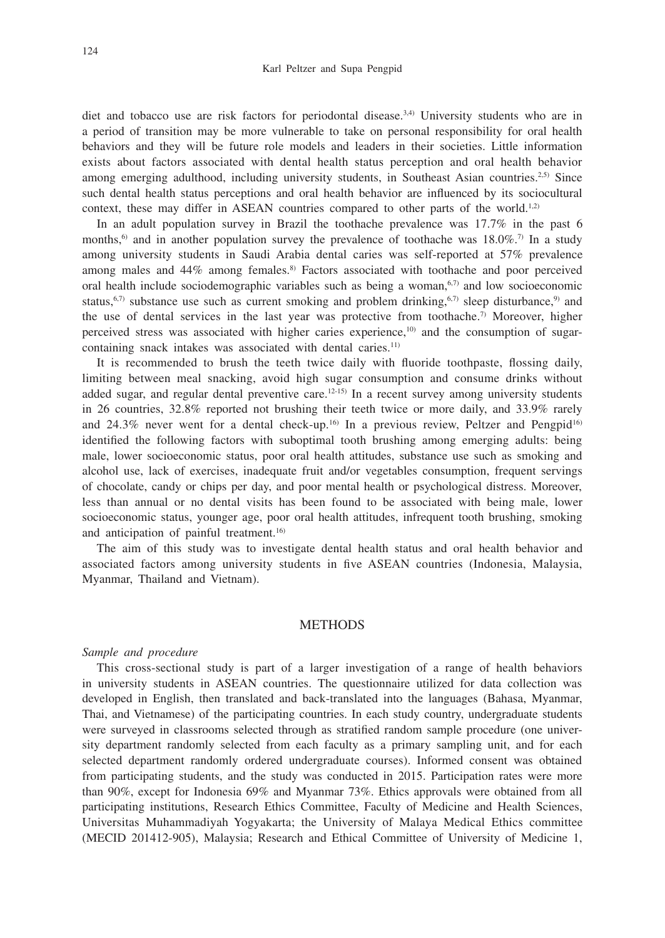diet and tobacco use are risk factors for periodontal disease.<sup>3,4)</sup> University students who are in a period of transition may be more vulnerable to take on personal responsibility for oral health behaviors and they will be future role models and leaders in their societies. Little information exists about factors associated with dental health status perception and oral health behavior among emerging adulthood, including university students, in Southeast Asian countries.<sup>2,5)</sup> Since such dental health status perceptions and oral health behavior are influenced by its sociocultural context, these may differ in ASEAN countries compared to other parts of the world.<sup>1,2)</sup>

In an adult population survey in Brazil the toothache prevalence was 17.7% in the past 6 months,<sup>6)</sup> and in another population survey the prevalence of toothache was  $18.0\%$ .<sup>7)</sup> In a study among university students in Saudi Arabia dental caries was self-reported at 57% prevalence among males and  $44\%$  among females.<sup>8)</sup> Factors associated with toothache and poor perceived oral health include sociodemographic variables such as being a woman, $6,7$  and low socioeconomic status,<sup>6,7)</sup> substance use such as current smoking and problem drinking,<sup>6,7)</sup> sleep disturbance,<sup>9)</sup> and the use of dental services in the last year was protective from toothache.<sup>7)</sup> Moreover, higher perceived stress was associated with higher caries experience,<sup>10)</sup> and the consumption of sugarcontaining snack intakes was associated with dental caries.<sup>11)</sup>

It is recommended to brush the teeth twice daily with fluoride toothpaste, flossing daily, limiting between meal snacking, avoid high sugar consumption and consume drinks without added sugar, and regular dental preventive care.<sup>12-15)</sup> In a recent survey among university students in 26 countries, 32.8% reported not brushing their teeth twice or more daily, and 33.9% rarely and  $24.3\%$  never went for a dental check-up.<sup>16)</sup> In a previous review, Peltzer and Pengpid<sup>16)</sup> identified the following factors with suboptimal tooth brushing among emerging adults: being male, lower socioeconomic status, poor oral health attitudes, substance use such as smoking and alcohol use, lack of exercises, inadequate fruit and/or vegetables consumption, frequent servings of chocolate, candy or chips per day, and poor mental health or psychological distress. Moreover, less than annual or no dental visits has been found to be associated with being male, lower socioeconomic status, younger age, poor oral health attitudes, infrequent tooth brushing, smoking and anticipation of painful treatment.<sup>16)</sup>

The aim of this study was to investigate dental health status and oral health behavior and associated factors among university students in five ASEAN countries (Indonesia, Malaysia, Myanmar, Thailand and Vietnam).

### **METHODS**

### *Sample and procedure*

This cross-sectional study is part of a larger investigation of a range of health behaviors in university students in ASEAN countries. The questionnaire utilized for data collection was developed in English, then translated and back-translated into the languages (Bahasa, Myanmar, Thai, and Vietnamese) of the participating countries. In each study country, undergraduate students were surveyed in classrooms selected through as stratified random sample procedure (one university department randomly selected from each faculty as a primary sampling unit, and for each selected department randomly ordered undergraduate courses). Informed consent was obtained from participating students, and the study was conducted in 2015. Participation rates were more than 90%, except for Indonesia 69% and Myanmar 73%. Ethics approvals were obtained from all participating institutions, Research Ethics Committee, Faculty of Medicine and Health Sciences, Universitas Muhammadiyah Yogyakarta; the University of Malaya Medical Ethics committee (MECID 201412-905), Malaysia; Research and Ethical Committee of University of Medicine 1,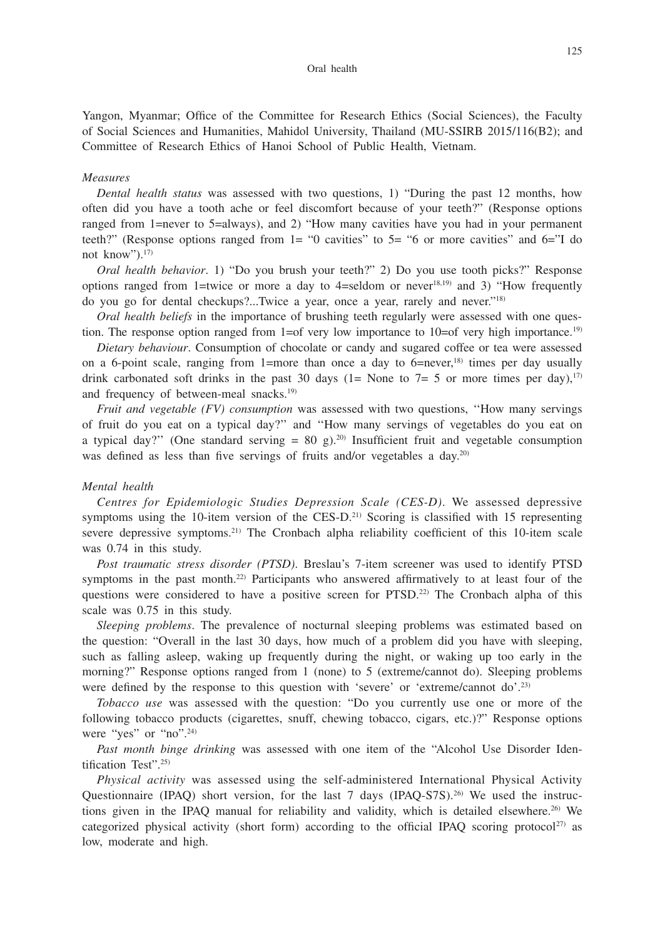Yangon, Myanmar; Office of the Committee for Research Ethics (Social Sciences), the Faculty of Social Sciences and Humanities, Mahidol University, Thailand (MU-SSIRB 2015/116(B2); and Committee of Research Ethics of Hanoi School of Public Health, Vietnam.

#### *Measures*

*Dental health status* was assessed with two questions, 1) "During the past 12 months, how often did you have a tooth ache or feel discomfort because of your teeth?" (Response options ranged from 1=never to 5=always), and 2) "How many cavities have you had in your permanent teeth?" (Response options ranged from 1= "0 cavities" to 5= "6 or more cavities" and 6="I do not know").<sup>17)</sup>

*Oral health behavior*. 1) "Do you brush your teeth?" 2) Do you use tooth picks?" Response options ranged from 1=twice or more a day to 4=seldom or never<sup>18,19</sup> and 3) "How frequently do you go for dental checkups?...Twice a year, once a year, rarely and never."18)

*Oral health beliefs* in the importance of brushing teeth regularly were assessed with one question. The response option ranged from  $1=$  of very low importance to  $10=$  of very high importance.<sup>19)</sup>

*Dietary behaviour*. Consumption of chocolate or candy and sugared coffee or tea were assessed on a 6-point scale, ranging from 1=more than once a day to  $6$ =never,<sup>18)</sup> times per day usually drink carbonated soft drinks in the past 30 days (1= None to 7= 5 or more times per day),<sup>17)</sup> and frequency of between-meal snacks.<sup>19)</sup>

*Fruit and vegetable (FV) consumption* was assessed with two questions, ''How many servings of fruit do you eat on a typical day?'' and ''How many servings of vegetables do you eat on a typical day?" (One standard serving =  $80 \text{ g}$ ).<sup>20)</sup> Insufficient fruit and vegetable consumption was defined as less than five servings of fruits and/or vegetables a day.<sup>20)</sup>

## *Mental health*

*Centres for Epidemiologic Studies Depression Scale (CES-D)*. We assessed depressive symptoms using the 10-item version of the CES-D.<sup>21)</sup> Scoring is classified with 15 representing severe depressive symptoms.<sup>21)</sup> The Cronbach alpha reliability coefficient of this 10-item scale was 0.74 in this study.

*Post traumatic stress disorder (PTSD)*. Breslau's 7-item screener was used to identify PTSD symptoms in the past month.<sup>22)</sup> Participants who answered affirmatively to at least four of the questions were considered to have a positive screen for PTSD.22) The Cronbach alpha of this scale was 0.75 in this study.

*Sleeping problems*. The prevalence of nocturnal sleeping problems was estimated based on the question: "Overall in the last 30 days, how much of a problem did you have with sleeping, such as falling asleep, waking up frequently during the night, or waking up too early in the morning?" Response options ranged from 1 (none) to 5 (extreme/cannot do). Sleeping problems were defined by the response to this question with 'severe' or 'extreme/cannot do'.<sup>23)</sup>

*Tobacco use* was assessed with the question: "Do you currently use one or more of the following tobacco products (cigarettes, snuff, chewing tobacco, cigars, etc.)?" Response options were "yes" or "no".<sup>24)</sup>

*Past month binge drinking* was assessed with one item of the "Alcohol Use Disorder Identification Test".25)

*Physical activity* was assessed using the self-administered International Physical Activity Questionnaire (IPAQ) short version, for the last 7 days (IPAQ-S7S).26) We used the instructions given in the IPAQ manual for reliability and validity, which is detailed elsewhere.<sup>26</sup> We categorized physical activity (short form) according to the official IPAQ scoring protocol<sup>27)</sup> as low, moderate and high.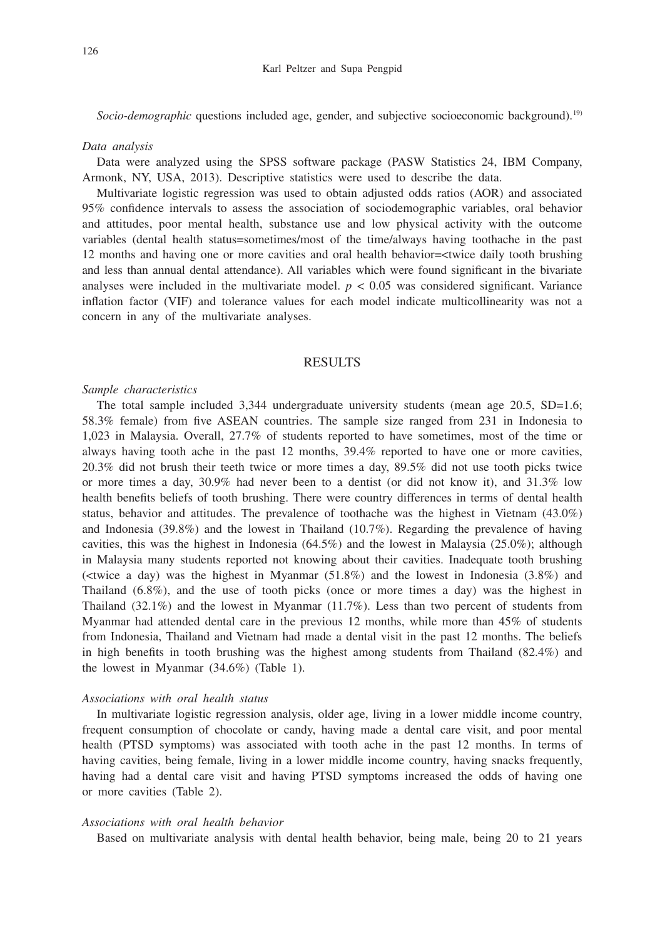*Socio-demographic* questions included age, gender, and subjective socioeconomic background).19)

#### *Data analysis*

Data were analyzed using the SPSS software package (PASW Statistics 24, IBM Company, Armonk, NY, USA, 2013). Descriptive statistics were used to describe the data.

Multivariate logistic regression was used to obtain adjusted odds ratios (AOR) and associated 95% confidence intervals to assess the association of sociodemographic variables, oral behavior and attitudes, poor mental health, substance use and low physical activity with the outcome variables (dental health status=sometimes/most of the time/always having toothache in the past 12 months and having one or more cavities and oral health behavior=<twice daily tooth brushing and less than annual dental attendance). All variables which were found significant in the bivariate analyses were included in the multivariate model.  $p < 0.05$  was considered significant. Variance inflation factor (VIF) and tolerance values for each model indicate multicollinearity was not a concern in any of the multivariate analyses.

## **RESULTS**

#### *Sample characteristics*

The total sample included 3,344 undergraduate university students (mean age 20.5, SD=1.6; 58.3% female) from five ASEAN countries. The sample size ranged from 231 in Indonesia to 1,023 in Malaysia. Overall, 27.7% of students reported to have sometimes, most of the time or always having tooth ache in the past 12 months, 39.4% reported to have one or more cavities, 20.3% did not brush their teeth twice or more times a day, 89.5% did not use tooth picks twice or more times a day, 30.9% had never been to a dentist (or did not know it), and 31.3% low health benefits beliefs of tooth brushing. There were country differences in terms of dental health status, behavior and attitudes. The prevalence of toothache was the highest in Vietnam (43.0%) and Indonesia (39.8%) and the lowest in Thailand (10.7%). Regarding the prevalence of having cavities, this was the highest in Indonesia  $(64.5\%)$  and the lowest in Malaysia  $(25.0\%)$ ; although in Malaysia many students reported not knowing about their cavities. Inadequate tooth brushing ( $\lt$ twice a day) was the highest in Myanmar (51.8%) and the lowest in Indonesia (3.8%) and Thailand (6.8%), and the use of tooth picks (once or more times a day) was the highest in Thailand  $(32.1\%)$  and the lowest in Myanmar  $(11.7\%)$ . Less than two percent of students from Myanmar had attended dental care in the previous 12 months, while more than 45% of students from Indonesia, Thailand and Vietnam had made a dental visit in the past 12 months. The beliefs in high benefits in tooth brushing was the highest among students from Thailand (82.4%) and the lowest in Myanmar (34.6%) (Table 1).

## *Associations with oral health status*

In multivariate logistic regression analysis, older age, living in a lower middle income country, frequent consumption of chocolate or candy, having made a dental care visit, and poor mental health (PTSD symptoms) was associated with tooth ache in the past 12 months. In terms of having cavities, being female, living in a lower middle income country, having snacks frequently, having had a dental care visit and having PTSD symptoms increased the odds of having one or more cavities (Table 2).

#### *Associations with oral health behavior*

Based on multivariate analysis with dental health behavior, being male, being 20 to 21 years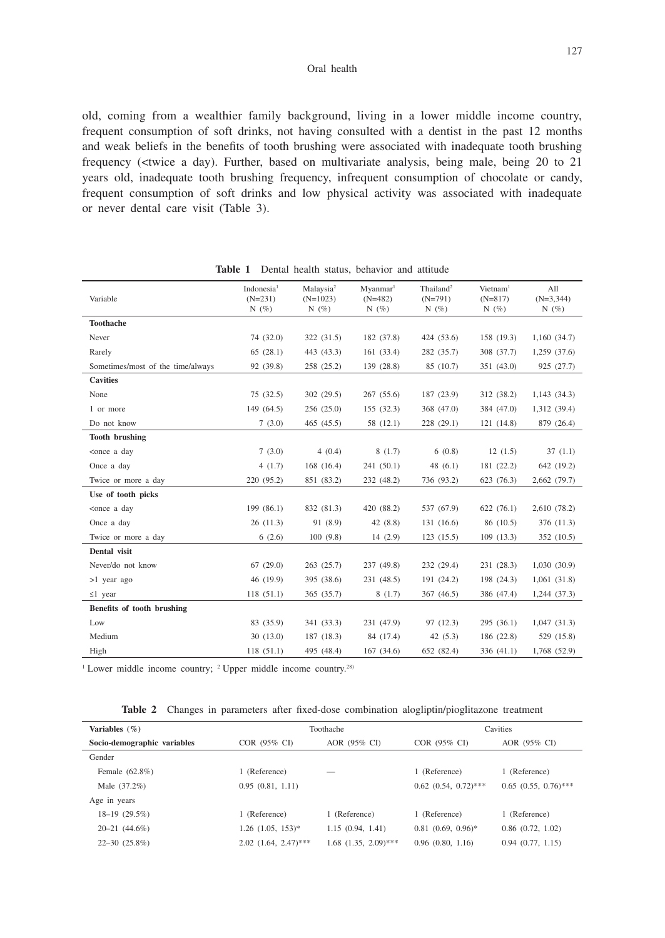old, coming from a wealthier family background, living in a lower middle income country, frequent consumption of soft drinks, not having consulted with a dentist in the past 12 months and weak beliefs in the benefits of tooth brushing were associated with inadequate tooth brushing frequency (<twice a day). Further, based on multivariate analysis, being male, being 20 to 21 years old, inadequate tooth brushing frequency, infrequent consumption of chocolate or candy, frequent consumption of soft drinks and low physical activity was associated with inadequate or never dental care visit (Table 3).

| Variable                                                                                                                                            | Indonesia <sup>1</sup><br>$(N=231)$<br>N $(\% )$ | Malaysia <sup>2</sup><br>$(N=1023)$<br>N $(\% )$ | Myanmar <sup>1</sup><br>$(N=482)$<br>N $(\%)$ | Thailand <sup>2</sup><br>$(N=791)$<br>N(%) | $V$ ietnam <sup>1</sup><br>$(N=817)$<br>N $(\% )$ | All<br>$(N=3,344)$<br>N $(\%)$ |
|-----------------------------------------------------------------------------------------------------------------------------------------------------|--------------------------------------------------|--------------------------------------------------|-----------------------------------------------|--------------------------------------------|---------------------------------------------------|--------------------------------|
| <b>Toothache</b>                                                                                                                                    |                                                  |                                                  |                                               |                                            |                                                   |                                |
| Never                                                                                                                                               | 74 (32.0)                                        | 322 (31.5)                                       | 182 (37.8)                                    | 424 (53.6)                                 | 158 (19.3)                                        | 1,160 (34.7)                   |
| Rarely                                                                                                                                              | 65(28.1)                                         | 443 (43.3)                                       | 161(33.4)                                     | 282 (35.7)                                 | 308 (37.7)                                        | $1,259$ $(37.6)$               |
| Sometimes/most of the time/always                                                                                                                   | 92 (39.8)                                        | 258 (25.2)                                       | 139 (28.8)                                    | 85 (10.7)                                  | 351 (43.0)                                        | 925 (27.7)                     |
| <b>Cavities</b>                                                                                                                                     |                                                  |                                                  |                                               |                                            |                                                   |                                |
| None                                                                                                                                                | 75(32.5)                                         | 302(29.5)                                        | 267(55.6)                                     | 187 (23.9)                                 | 312 (38.2)                                        | 1,143(34.3)                    |
| 1 or more                                                                                                                                           | 149 (64.5)                                       | 256 (25.0)                                       | 155(32.3)                                     | 368 (47.0)                                 | 384 (47.0)                                        | 1,312 (39.4)                   |
| Do not know                                                                                                                                         | 7(3.0)                                           | 465 (45.5)                                       | 58 (12.1)                                     | 228 (29.1)                                 | 121 (14.8)                                        | 879 (26.4)                     |
| <b>Tooth brushing</b>                                                                                                                               |                                                  |                                                  |                                               |                                            |                                                   |                                |
| <once a="" day<="" td=""><td>7(3.0)</td><td>4(0.4)</td><td>8(1.7)</td><td>6(0.8)</td><td>12(1.5)</td><td>37(1.1)</td></once>                        | 7(3.0)                                           | 4(0.4)                                           | 8(1.7)                                        | 6(0.8)                                     | 12(1.5)                                           | 37(1.1)                        |
| Once a day                                                                                                                                          | 4(1.7)                                           | 168 (16.4)                                       | 241(50.1)                                     | 48(6.1)                                    | 181 (22.2)                                        | 642 (19.2)                     |
| Twice or more a day                                                                                                                                 | 220 (95.2)                                       | 851 (83.2)                                       | 232 (48.2)                                    | 736 (93.2)                                 | 623 (76.3)                                        | 2,662 (79.7)                   |
| Use of tooth picks                                                                                                                                  |                                                  |                                                  |                                               |                                            |                                                   |                                |
| <once a="" day<="" td=""><td>199 (86.1)</td><td>832 (81.3)</td><td>420 (88.2)</td><td>537 (67.9)</td><td>622(76.1)</td><td>2,610 (78.2)</td></once> | 199 (86.1)                                       | 832 (81.3)                                       | 420 (88.2)                                    | 537 (67.9)                                 | 622(76.1)                                         | 2,610 (78.2)                   |
| Once a day                                                                                                                                          | 26(11.3)                                         | 91 (8.9)                                         | 42(8.8)                                       | 131 (16.6)                                 | 86 (10.5)                                         | 376 (11.3)                     |
| Twice or more a day                                                                                                                                 | 6(2.6)                                           | 100(9.8)                                         | 14(2.9)                                       | 123(15.5)                                  | 109(13.3)                                         | 352 (10.5)                     |
| Dental visit                                                                                                                                        |                                                  |                                                  |                                               |                                            |                                                   |                                |
| Never/do not know                                                                                                                                   | 67(29.0)                                         | 263 (25.7)                                       | 237 (49.8)                                    | 232 (29.4)                                 | 231 (28.3)                                        | 1,030(30.9)                    |
| $>1$ year ago                                                                                                                                       | 46 (19.9)                                        | 395 (38.6)                                       | 231 (48.5)                                    | 191 (24.2)                                 | 198 (24.3)                                        | 1,061(31.8)                    |
| $\leq 1$ year                                                                                                                                       | 118(51.1)                                        | 365 (35.7)                                       | 8(1.7)                                        | 367 (46.5)                                 | 386 (47.4)                                        | 1,244(37.3)                    |
| Benefits of tooth brushing                                                                                                                          |                                                  |                                                  |                                               |                                            |                                                   |                                |
| Low                                                                                                                                                 | 83 (35.9)                                        | 341 (33.3)                                       | 231 (47.9)                                    | 97 (12.3)                                  | 295(36.1)                                         | 1,047(31.3)                    |
| Medium                                                                                                                                              | 30(13.0)                                         | 187 (18.3)                                       | 84 (17.4)                                     | 42(5.3)                                    | 186 (22.8)                                        | 529 (15.8)                     |
| High                                                                                                                                                | 118(51.1)                                        | 495 (48.4)                                       | 167(34.6)                                     | 652 (82.4)                                 | 336 (41.1)                                        | 1,768 (52.9)                   |

**Table 1** Dental health status, behavior and attitude

<sup>1</sup> Lower middle income country; <sup>2</sup> Upper middle income country.<sup>28)</sup>

| Variables $(\% )$           |                                | Toothache                 | Cavities                  |                           |  |
|-----------------------------|--------------------------------|---------------------------|---------------------------|---------------------------|--|
| Socio-demographic variables | $COR$ (95% CI)<br>AOR (95% CI) |                           | COR (95% CI)              | AOR (95% CI)              |  |
| Gender                      |                                |                           |                           |                           |  |
| Female (62.8%)              | 1 (Reference)                  |                           | 1 (Reference)             | 1 (Reference)             |  |
| Male (37.2%)                | 0.95(0.81, 1.11)               |                           | $0.62$ $(0.54, 0.72)$ *** | $0.65$ $(0.55, 0.76)$ *** |  |
| Age in years                |                                |                           |                           |                           |  |
| $18-19(29.5\%)$             | 1 (Reference)                  | 1 (Reference)             | 1 (Reference)             | 1 (Reference)             |  |
| $20 - 21$ $(44.6\%)$        | $1.26$ $(1.05, 153)^*$         | 1.15(0.94, 1.41)          | $0.81$ $(0.69, 0.96)^*$   | $0.86$ $(0.72, 1.02)$     |  |
| $22 - 30$ $(25.8\%)$        | $2.02$ $(1.64, 2.47)$ ***      | $1.68$ $(1.35, 2.09)$ *** | $0.96$ $(0.80, 1.16)$     | 0.94(0.77, 1.15)          |  |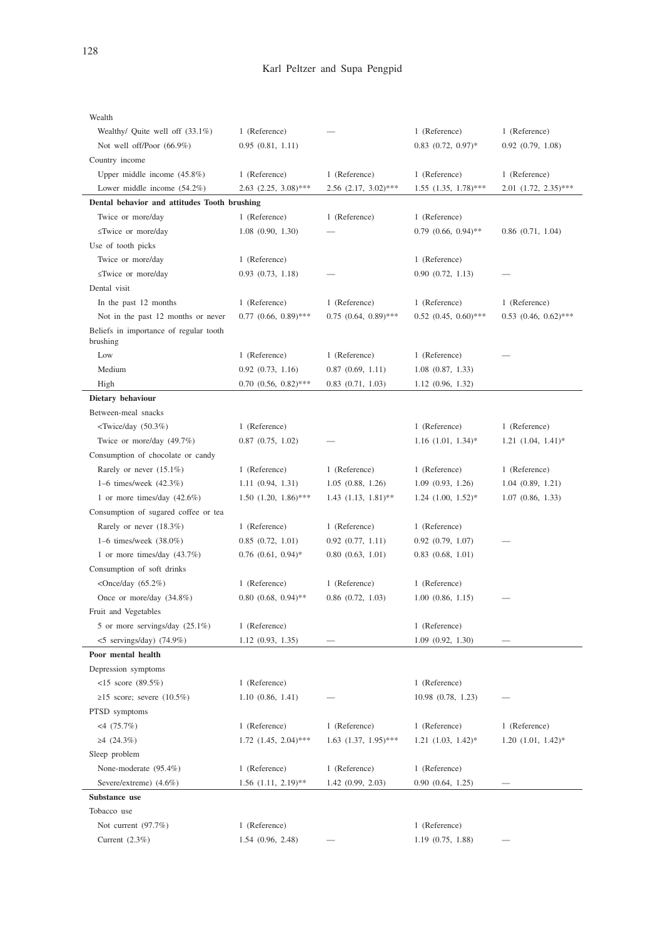| Wealth                                             |                           |                           |                           |                           |
|----------------------------------------------------|---------------------------|---------------------------|---------------------------|---------------------------|
| Wealthy/ Quite well off (33.1%)                    | 1 (Reference)             |                           | 1 (Reference)             | 1 (Reference)             |
| Not well off/Poor (66.9%)                          | 0.95(0.81, 1.11)          |                           | $0.83$ $(0.72, 0.97)^*$   | $0.92$ $(0.79, 1.08)$     |
| Country income                                     |                           |                           |                           |                           |
| Upper middle income $(45.8\%)$                     | 1 (Reference)             | 1 (Reference)             | 1 (Reference)             | 1 (Reference)             |
| Lower middle income $(54.2\%)$                     | $2.63$ $(2.25, 3.08)$ *** | $2.56$ $(2.17, 3.02)$ *** | $1.55$ $(1.35, 1.78)$ *** | $2.01$ $(1.72, 2.35)$ *** |
| Dental behavior and attitudes Tooth brushing       |                           |                           |                           |                           |
| Twice or more/day                                  | 1 (Reference)             | 1 (Reference)             | 1 (Reference)             |                           |
| ≤Twice or more/day                                 | $1.08$ $(0.90, 1.30)$     |                           | $0.79$ $(0.66, 0.94)$ **  | $0.86$ $(0.71, 1.04)$     |
| Use of tooth picks                                 |                           |                           |                           |                           |
| Twice or more/day                                  | 1 (Reference)             |                           | 1 (Reference)             |                           |
| ≤Twice or more/day                                 | $0.93$ $(0.73, 1.18)$     |                           | 0.90(0.72, 1.13)          |                           |
| Dental visit                                       |                           |                           |                           |                           |
| In the past 12 months                              | 1 (Reference)             | 1 (Reference)             | 1 (Reference)             | 1 (Reference)             |
| Not in the past 12 months or never                 | $0.77$ $(0.66, 0.89)$ *** | $0.75$ $(0.64, 0.89)$ *** | $0.52$ $(0.45, 0.60)$ *** | $0.53$ $(0.46, 0.62)$ *** |
| Beliefs in importance of regular tooth<br>brushing |                           |                           |                           |                           |
| Low                                                | 1 (Reference)             | 1 (Reference)             | 1 (Reference)             |                           |
| Medium                                             | $0.92$ $(0.73, 1.16)$     | $0.87$ $(0.69, 1.11)$     | $1.08$ $(0.87, 1.33)$     |                           |
| High                                               | $0.70$ $(0.56, 0.82)$ *** | $0.83$ $(0.71, 1.03)$     | 1.12(0.96, 1.32)          |                           |
| Dietary behaviour                                  |                           |                           |                           |                           |
| Between-meal snacks                                |                           |                           |                           |                           |
| $\langle$ Twice/day (50.3%)                        | 1 (Reference)             |                           | 1 (Reference)             | 1 (Reference)             |
| Twice or more/day (49.7%)                          | $0.87$ $(0.75, 1.02)$     |                           | $1.16$ $(1.01, 1.34)$ *   | $1.21$ $(1.04, 1.41)^*$   |
| Consumption of chocolate or candy                  |                           |                           |                           |                           |
| Rarely or never $(15.1\%)$                         | 1 (Reference)             | 1 (Reference)             | 1 (Reference)             | 1 (Reference)             |
| 1–6 times/week (42.3%)                             | 1.11(0.94, 1.31)          | $1.05$ $(0.88, 1.26)$     | 1.09(0.93, 1.26)          | 1.04(0.89, 1.21)          |
| 1 or more times/day $(42.6\%)$                     | $1.50$ $(1.20, 1.86)$ *** | $1.43$ $(1.13, 1.81)$ **  | $1.24$ $(1.00, 1.52)$ *   | $1.07$ $(0.86, 1.33)$     |
| Consumption of sugared coffee or tea               |                           |                           |                           |                           |
| Rarely or never $(18.3%)$                          | 1 (Reference)             | 1 (Reference)             | 1 (Reference)             |                           |
| 1–6 times/week $(38.0\%)$                          | $0.85$ $(0.72, 1.01)$     | $0.92$ $(0.77, 1.11)$     | $0.92$ $(0.79, 1.07)$     |                           |
| 1 or more times/day $(43.7%)$                      | $0.76$ $(0.61, 0.94)$ *   | 0.80(0.63, 1.01)          | $0.83$ $(0.68, 1.01)$     |                           |
| Consumption of soft drinks                         |                           |                           |                           |                           |
| <once <math="" day="">(65.2\%)</once>              | 1 (Reference)             | 1 (Reference)             | 1 (Reference)             |                           |
| Once or more/day (34.8%)                           | $0.80$ $(0.68, 0.94)$ **  | $0.86$ $(0.72, 1.03)$     | 1.00(0.86, 1.15)          |                           |
| Fruit and Vegetables                               |                           |                           |                           |                           |
| 5 or more servings/day (25.1%)                     | 1 (Reference)             |                           | 1 (Reference)             |                           |
| $<$ 5 servings/day) (74.9%)                        | $1.12 \ (0.93, 1.35)$     |                           | 1.09(0.92, 1.30)          |                           |
| Poor mental health                                 |                           |                           |                           |                           |
| Depression symptoms                                |                           |                           |                           |                           |
| $<$ 15 score (89.5%)                               | 1 (Reference)             |                           | 1 (Reference)             |                           |
| $\geq$ 15 score; severe (10.5%)                    | 1.10(0.86, 1.41)          |                           | 10.98 (0.78, 1.23)        |                           |
| PTSD symptoms                                      |                           |                           |                           |                           |
| $<$ 4 (75.7%)                                      | 1 (Reference)             | 1 (Reference)             | 1 (Reference)             | 1 (Reference)             |
| ≥4 $(24.3%)$                                       | $1.72$ $(1.45, 2.04)$ *** | $1.63$ $(1.37, 1.95)$ *** | $1.21$ $(1.03, 1.42)^*$   | $1.20$ $(1.01, 1.42)^*$   |
| Sleep problem                                      |                           |                           |                           |                           |
| None-moderate (95.4%)                              | 1 (Reference)             | 1 (Reference)             | 1 (Reference)             |                           |
| Severe/extreme) (4.6%)                             | $1.56$ $(1.11, 2.19)$ **  | 1.42(0.99, 2.03)          | 0.90(0.64, 1.25)          |                           |
| Substance use                                      |                           |                           |                           |                           |
| Tobacco use                                        |                           |                           |                           |                           |
| Not current $(97.7%)$                              | 1 (Reference)             |                           | 1 (Reference)             |                           |
| Current $(2.3\%)$                                  | $1.54$ $(0.96, 2.48)$     |                           | $1.19$ $(0.75, 1.88)$     |                           |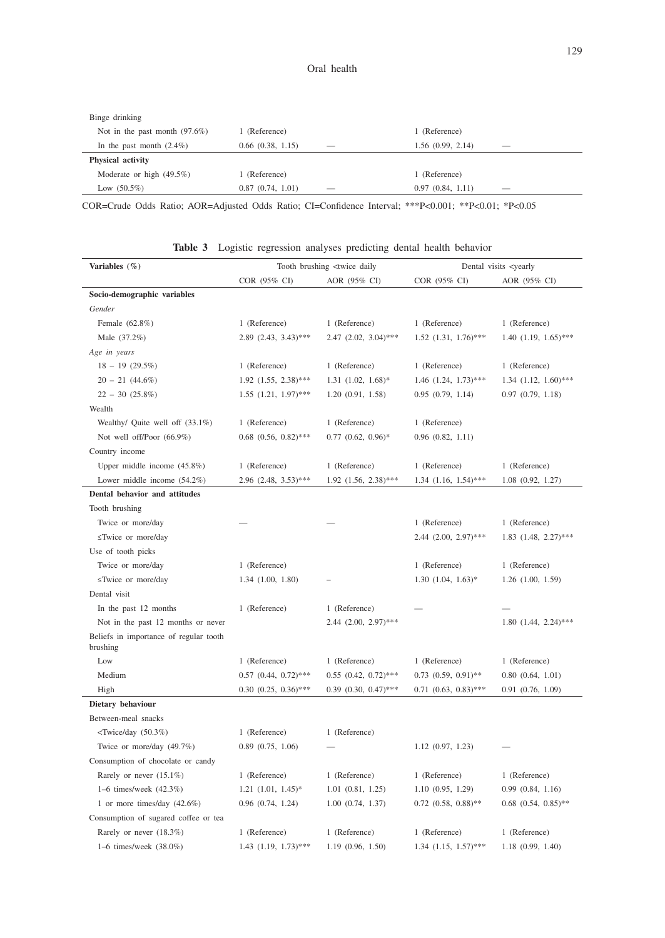| Binge drinking                  |                       |                          |                       |                          |
|---------------------------------|-----------------------|--------------------------|-----------------------|--------------------------|
| Not in the past month $(97.6%)$ | (Reference)           |                          | 1 (Reference)         |                          |
| In the past month $(2.4\%)$     | $0.66$ $(0.38, 1.15)$ | $\overline{\phantom{a}}$ | $1.56$ $(0.99, 2.14)$ | $\overline{\phantom{a}}$ |
| Physical activity               |                       |                          |                       |                          |
| Moderate or high (49.5%)        | (Reference)           |                          | 1 (Reference)         |                          |
| Low $(50.5\%)$                  | 0.87(0.74, 1.01)      | $\overline{\phantom{a}}$ | 0.97(0.84, 1.11)      | $\overline{\phantom{a}}$ |

COR=Crude Odds Ratio; AOR=Adjusted Odds Ratio; CI=Confidence Interval; \*\*\*P<0.001; \*\*P<0.01; \*P<0.05

| Variables (%)                                                                                          | Tooth brushing <twice daily<="" th=""><th colspan="3">Dental visits <yearly< th=""></yearly<></th></twice> |                           | Dental visits <yearly< th=""></yearly<> |                           |  |
|--------------------------------------------------------------------------------------------------------|------------------------------------------------------------------------------------------------------------|---------------------------|-----------------------------------------|---------------------------|--|
|                                                                                                        | COR (95% CI)                                                                                               | AOR (95% CI)              | COR (95% CI)                            | AOR (95% CI)              |  |
| Socio-demographic variables                                                                            |                                                                                                            |                           |                                         |                           |  |
| Gender                                                                                                 |                                                                                                            |                           |                                         |                           |  |
| Female (62.8%)                                                                                         | 1 (Reference)                                                                                              | 1 (Reference)             | 1 (Reference)                           | 1 (Reference)             |  |
| Male (37.2%)                                                                                           | $2.89$ $(2.43, 3.43)$ ***                                                                                  | $2.47$ $(2.02, 3.04)$ *** | $1.52$ $(1.31, 1.76)$ ***               | $1.40$ $(1.19, 1.65)$ *** |  |
| Age in years                                                                                           |                                                                                                            |                           |                                         |                           |  |
| $18 - 19$ (29.5%)                                                                                      | 1 (Reference)                                                                                              | 1 (Reference)             | 1 (Reference)                           | 1 (Reference)             |  |
| $20 - 21$ (44.6%)                                                                                      | $1.92$ $(1.55, 2.38)$ ***                                                                                  | $1.31$ $(1.02, 1.68)$ *   | $1.46$ $(1.24, 1.73)$ ***               | $1.34$ $(1.12, 1.60)$ *** |  |
| $22 - 30(25.8\%)$                                                                                      | $1.55$ $(1.21, 1.97)$ ***                                                                                  | 1.20(0.91, 1.58)          | 0.95(0.79, 1.14)                        | 0.97(0.79, 1.18)          |  |
| Wealth                                                                                                 |                                                                                                            |                           |                                         |                           |  |
| Wealthy/ Quite well off (33.1%)                                                                        | 1 (Reference)                                                                                              | 1 (Reference)             | 1 (Reference)                           |                           |  |
| Not well off/Poor (66.9%)                                                                              | $0.68$ $(0.56, 0.82)$ ***                                                                                  | $0.77$ $(0.62, 0.96)^*$   | $0.96$ $(0.82, 1.11)$                   |                           |  |
| Country income                                                                                         |                                                                                                            |                           |                                         |                           |  |
| Upper middle income $(45.8\%)$                                                                         | 1 (Reference)                                                                                              | 1 (Reference)             | 1 (Reference)                           | 1 (Reference)             |  |
| Lower middle income $(54.2\%)$                                                                         | $2.96$ $(2.48, 3.53)$ ***                                                                                  | $1.92$ $(1.56, 2.38)$ *** | $1.34$ $(1.16, 1.54)$ ***               | $1.08$ $(0.92, 1.27)$     |  |
| Dental behavior and attitudes                                                                          |                                                                                                            |                           |                                         |                           |  |
| Tooth brushing                                                                                         |                                                                                                            |                           |                                         |                           |  |
| Twice or more/day                                                                                      |                                                                                                            |                           | 1 (Reference)                           | 1 (Reference)             |  |
| ≤Twice or more/day                                                                                     |                                                                                                            |                           | $2.44$ $(2.00, 2.97)$ ***               | $1.83$ $(1.48, 2.27)$ *** |  |
| Use of tooth picks                                                                                     |                                                                                                            |                           |                                         |                           |  |
| Twice or more/day                                                                                      | 1 (Reference)                                                                                              |                           | 1 (Reference)                           | 1 (Reference)             |  |
| ≤Twice or more/day                                                                                     | $1.34$ $(1.00, 1.80)$                                                                                      |                           | $1.30$ $(1.04, 1.63)*$                  | $1.26$ $(1.00, 1.59)$     |  |
| Dental visit                                                                                           |                                                                                                            |                           |                                         |                           |  |
| In the past 12 months                                                                                  | 1 (Reference)                                                                                              | 1 (Reference)             |                                         |                           |  |
| Not in the past 12 months or never                                                                     |                                                                                                            | $2.44$ $(2.00, 2.97)$ *** |                                         | $1.80(1.44, 2.24)$ ***    |  |
| Beliefs in importance of regular tooth<br>brushing                                                     |                                                                                                            |                           |                                         |                           |  |
| Low                                                                                                    | 1 (Reference)                                                                                              | 1 (Reference)             | 1 (Reference)                           | 1 (Reference)             |  |
| Medium                                                                                                 | $0.57$ $(0.44, 0.72)$ ***                                                                                  | $0.55$ $(0.42, 0.72)$ *** | $0.73$ $(0.59, 0.91)$ **                | $0.80$ $(0.64, 1.01)$     |  |
| High                                                                                                   | $0.30$ $(0.25, 0.36)$ ***                                                                                  | $0.39$ $(0.30, 0.47)$ *** | $0.71$ $(0.63, 0.83)$ ***               | $0.91$ $(0.76, 1.09)$     |  |
| Dietary behaviour                                                                                      |                                                                                                            |                           |                                         |                           |  |
| Between-meal snacks                                                                                    |                                                                                                            |                           |                                         |                           |  |
| <twice (50.3%)<="" day="" td=""><td>1 (Reference)</td><td>1 (Reference)</td><td></td><td></td></twice> | 1 (Reference)                                                                                              | 1 (Reference)             |                                         |                           |  |
| Twice or more/day (49.7%)                                                                              | $0.89$ $(0.75, 1.06)$                                                                                      |                           | 1.12(0.97, 1.23)                        |                           |  |
| Consumption of chocolate or candy                                                                      |                                                                                                            |                           |                                         |                           |  |
| Rarely or never (15.1%)                                                                                | 1 (Reference)                                                                                              | 1 (Reference)             | 1 (Reference)                           | 1 (Reference)             |  |
| 1-6 times/week (42.3%)                                                                                 | $1.21$ $(1.01, 1.45)^*$                                                                                    | $1.01$ $(0.81, 1.25)$     | 1.10(0.95, 1.29)                        | $0.99$ $(0.84, 1.16)$     |  |
| 1 or more times/day $(42.6\%)$                                                                         | $0.96$ $(0.74, 1.24)$                                                                                      | $1.00$ $(0.74, 1.37)$     | $0.72$ $(0.58, 0.88)$ **                | $0.68$ $(0.54, 0.85)$ **  |  |
| Consumption of sugared coffee or tea                                                                   |                                                                                                            |                           |                                         |                           |  |
| Rarely or never (18.3%)                                                                                | 1 (Reference)                                                                                              | 1 (Reference)             | 1 (Reference)                           | 1 (Reference)             |  |
| 1–6 times/week (38.0%)                                                                                 | 1.43 (1.19, 1.73)***                                                                                       | 1.19(0.96, 1.50)          | $1.34$ $(1.15, 1.57)$ ***               | $1.18$ $(0.99, 1.40)$     |  |

**Table 3** Logistic regression analyses predicting dental health behavior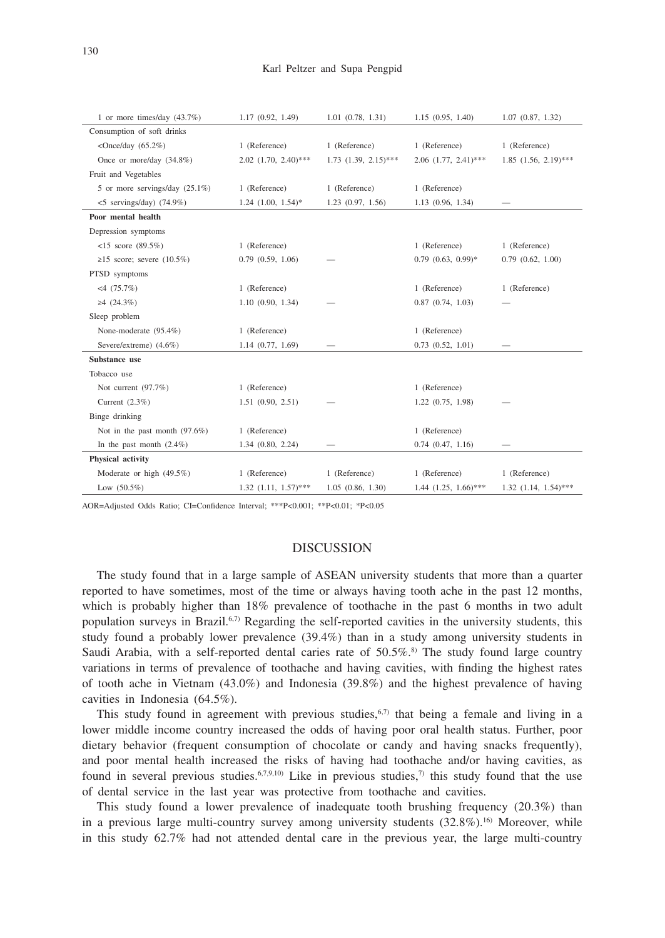| 1 or more times/day $(43.7%)$         | 1.17 (0.92, 1.49)         | $1.01$ $(0.78, 1.31)$     | 1.15(0.95, 1.40)          | $1.07$ $(0.87, 1.32)$     |
|---------------------------------------|---------------------------|---------------------------|---------------------------|---------------------------|
| Consumption of soft drinks            |                           |                           |                           |                           |
| <once <math="" day="">(65.2\%)</once> | 1 (Reference)             | 1 (Reference)             | 1 (Reference)             | 1 (Reference)             |
| Once or more/day (34.8%)              | $2.02$ $(1.70, 2.40)$ *** | $1.73$ $(1.39, 2.15)$ *** | $2.06$ $(1.77, 2.41)$ *** | $1.85$ $(1.56, 2.19)$ *** |
| Fruit and Vegetables                  |                           |                           |                           |                           |
| 5 or more servings/day (25.1%)        | 1 (Reference)             | 1 (Reference)             | 1 (Reference)             |                           |
| $<$ 5 servings/day) (74.9%)           | $1.24$ $(1.00, 1.54)$ *   | $1.23$ $(0.97, 1.56)$     | 1.13 (0.96, 1.34)         |                           |
| Poor mental health                    |                           |                           |                           |                           |
| Depression symptoms                   |                           |                           |                           |                           |
| $<15$ score (89.5%)                   | 1 (Reference)             |                           | 1 (Reference)             | 1 (Reference)             |
| $\geq$ 15 score; severe (10.5%)       | $0.79$ $(0.59, 1.06)$     |                           | $0.79$ $(0.63, 0.99)$ *   | $0.79$ $(0.62, 1.00)$     |
| PTSD symptoms                         |                           |                           |                           |                           |
| $<4$ (75.7%)                          | 1 (Reference)             |                           | 1 (Reference)             | 1 (Reference)             |
| $\geq 4$ (24.3%)                      | 1.10(0.90, 1.34)          |                           | $0.87$ $(0.74, 1.03)$     |                           |
| Sleep problem                         |                           |                           |                           |                           |
| None-moderate (95.4%)                 | 1 (Reference)             |                           | 1 (Reference)             |                           |
| Severe/extreme) (4.6%)                | $1.14$ $(0.77, 1.69)$     |                           | $0.73$ $(0.52, 1.01)$     |                           |
| Substance use                         |                           |                           |                           |                           |
| Tobacco use                           |                           |                           |                           |                           |
| Not current $(97.7%)$                 | 1 (Reference)             |                           | 1 (Reference)             |                           |
| Current $(2.3\%)$                     | $1.51$ $(0.90, 2.51)$     |                           | $1.22$ $(0.75, 1.98)$     |                           |
| Binge drinking                        |                           |                           |                           |                           |
| Not in the past month $(97.6\%)$      | 1 (Reference)             |                           | 1 (Reference)             |                           |
| In the past month $(2.4\%)$           | $1.34$ $(0.80, 2.24)$     |                           | $0.74$ $(0.47, 1.16)$     |                           |
| Physical activity                     |                           |                           |                           |                           |
| Moderate or high (49.5%)              | 1 (Reference)             | 1 (Reference)             | 1 (Reference)             | 1 (Reference)             |
| Low $(50.5\%)$                        | $1.32$ (1.11, $1.57$ )*** | 1.05(0.86, 1.30)          | $1.44$ $(1.25, 1.66)$ *** | $1.32$ $(1.14, 1.54)$ *** |

AOR=Adjusted Odds Ratio; CI=Confidence Interval; \*\*\*P<0.001; \*\*P<0.01; \*P<0.05

# DISCUSSION

The study found that in a large sample of ASEAN university students that more than a quarter reported to have sometimes, most of the time or always having tooth ache in the past 12 months, which is probably higher than 18% prevalence of toothache in the past 6 months in two adult population surveys in Brazil.<sup> $6,7)$ </sup> Regarding the self-reported cavities in the university students, this study found a probably lower prevalence (39.4%) than in a study among university students in Saudi Arabia, with a self-reported dental caries rate of  $50.5\%$ .<sup>8)</sup> The study found large country variations in terms of prevalence of toothache and having cavities, with finding the highest rates of tooth ache in Vietnam (43.0%) and Indonesia (39.8%) and the highest prevalence of having cavities in Indonesia (64.5%).

This study found in agreement with previous studies,<sup>6,7)</sup> that being a female and living in a lower middle income country increased the odds of having poor oral health status. Further, poor dietary behavior (frequent consumption of chocolate or candy and having snacks frequently), and poor mental health increased the risks of having had toothache and/or having cavities, as found in several previous studies.<sup>6,7,9,10</sup>) Like in previous studies,<sup>7</sup> this study found that the use of dental service in the last year was protective from toothache and cavities.

This study found a lower prevalence of inadequate tooth brushing frequency (20.3%) than in a previous large multi-country survey among university students  $(32.8\%)$ .<sup>16</sup> Moreover, while in this study 62.7% had not attended dental care in the previous year, the large multi-country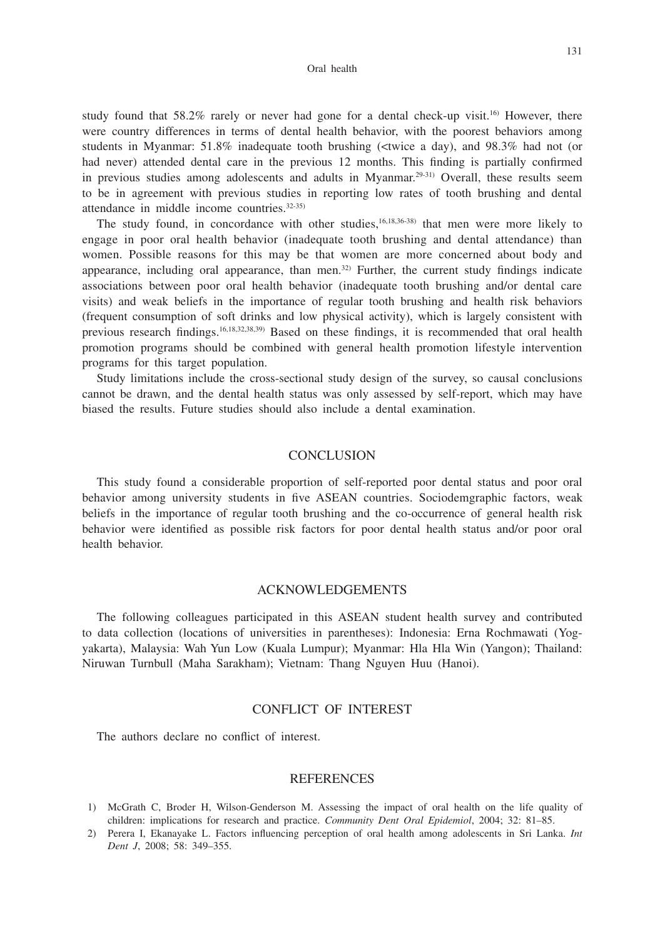131

study found that  $58.2\%$  rarely or never had gone for a dental check-up visit.<sup>16)</sup> However, there were country differences in terms of dental health behavior, with the poorest behaviors among students in Myanmar: 51.8% inadequate tooth brushing (<twice a day), and 98.3% had not (or had never) attended dental care in the previous 12 months. This finding is partially confirmed in previous studies among adolescents and adults in Myanmar.<sup>29-31)</sup> Overall, these results seem to be in agreement with previous studies in reporting low rates of tooth brushing and dental attendance in middle income countries.32-35)

The study found, in concordance with other studies, $16,18,36-38$ ) that men were more likely to engage in poor oral health behavior (inadequate tooth brushing and dental attendance) than women. Possible reasons for this may be that women are more concerned about body and appearance, including oral appearance, than men.<sup>32)</sup> Further, the current study findings indicate associations between poor oral health behavior (inadequate tooth brushing and/or dental care visits) and weak beliefs in the importance of regular tooth brushing and health risk behaviors (frequent consumption of soft drinks and low physical activity), which is largely consistent with previous research findings.16,18,32,38,39) Based on these findings, it is recommended that oral health promotion programs should be combined with general health promotion lifestyle intervention programs for this target population.

Study limitations include the cross-sectional study design of the survey, so causal conclusions cannot be drawn, and the dental health status was only assessed by self-report, which may have biased the results. Future studies should also include a dental examination.

# **CONCLUSION**

This study found a considerable proportion of self-reported poor dental status and poor oral behavior among university students in five ASEAN countries. Sociodemgraphic factors, weak beliefs in the importance of regular tooth brushing and the co-occurrence of general health risk behavior were identified as possible risk factors for poor dental health status and/or poor oral health behavior.

## ACKNOWLEDGEMENTS

The following colleagues participated in this ASEAN student health survey and contributed to data collection (locations of universities in parentheses): Indonesia: Erna Rochmawati (Yogyakarta), Malaysia: Wah Yun Low (Kuala Lumpur); Myanmar: Hla Hla Win (Yangon); Thailand: Niruwan Turnbull (Maha Sarakham); Vietnam: Thang Nguyen Huu (Hanoi).

# CONFLICT OF INTEREST

The authors declare no conflict of interest.

## **REFERENCES**

- 1) McGrath C, Broder H, Wilson-Genderson M. Assessing the impact of oral health on the life quality of children: implications for research and practice. *Community Dent Oral Epidemiol*, 2004; 32: 81–85.
- 2) Perera I, Ekanayake L. Factors influencing perception of oral health among adolescents in Sri Lanka. *Int Dent J*, 2008; 58: 349–355.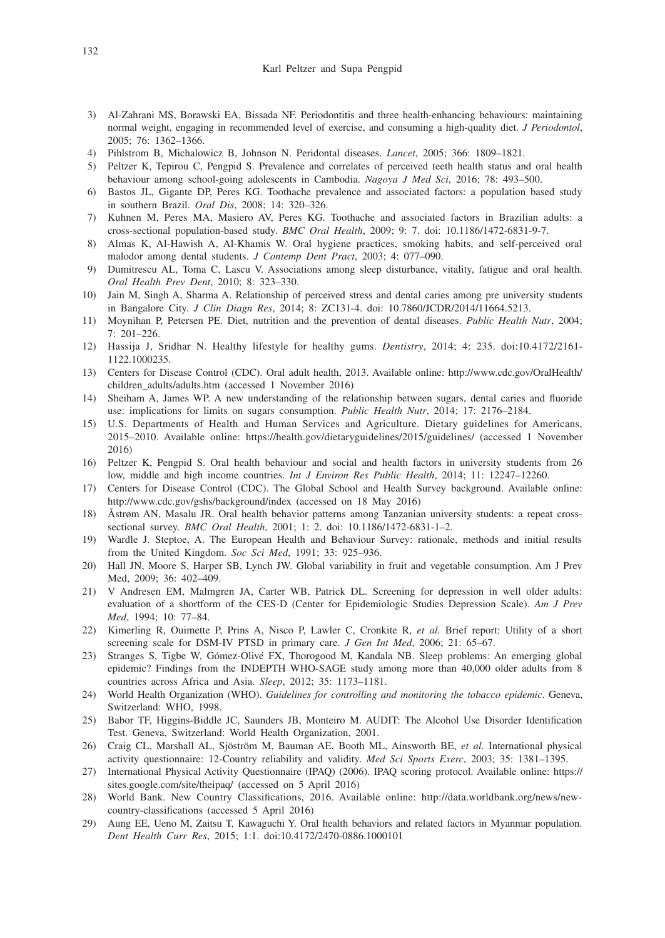- 3) Al-Zahrani MS, Borawski EA, Bissada NF. Periodontitis and three health-enhancing behaviours: maintaining normal weight, engaging in recommended level of exercise, and consuming a high-quality diet. *J Periodontol*, 2005; 76: 1362–1366.
- 4) Pihlstrom B, Michalowicz B, Johnson N. Peridontal diseases. *Lancet*, 2005; 366: 1809–1821.
- 5) Peltzer K, Tepirou C, Pengpid S. Prevalence and correlates of perceived teeth health status and oral health behaviour among school-going adolescents in Cambodia. *Nagoya J Med Sci*, 2016; 78: 493–500.
- 6) Bastos JL, Gigante DP, Peres KG. Toothache prevalence and associated factors: a population based study in southern Brazil. *Oral Dis*, 2008; 14: 320–326.
- 7) Kuhnen M, Peres MA, Masiero AV, Peres KG. Toothache and associated factors in Brazilian adults: a cross-sectional population-based study. *BMC Oral Health*, 2009; 9: 7. doi: 10.1186/1472-6831-9-7.
- 8) Almas K, Al-Hawish A, Al-Khamis W. Oral hygiene practices, smoking habits, and self-perceived oral malodor among dental students. *J Contemp Dent Pract*, 2003; 4: 077–090.
- 9) Dumitrescu AL, Toma C, Lascu V. Associations among sleep disturbance, vitality, fatigue and oral health. *Oral Health Prev Dent*, 2010; 8: 323–330.
- 10) Jain M, Singh A, Sharma A. Relationship of perceived stress and dental caries among pre university students in Bangalore City. *J Clin Diagn Res*, 2014; 8: ZC131-4. doi: 10.7860/JCDR/2014/11664.5213.
- 11) Moynihan P, Petersen PE. Diet, nutrition and the prevention of dental diseases. *Public Health Nutr*, 2004; 7: 201–226.
- 12) Hassija J, Sridhar N. Healthy lifestyle for healthy gums. *Dentistry*, 2014; 4: 235. doi:10.4172/2161- 1122.1000235.
- 13) Centers for Disease Control (CDC). Oral adult health, 2013. Available online: http://www.cdc.gov/OralHealth/ children\_adults/adults.htm (accessed 1 November 2016)
- 14) Sheiham A, James WP. A new understanding of the relationship between sugars, dental caries and fluoride use: implications for limits on sugars consumption. *Public Health Nutr*, 2014; 17: 2176–2184.
- 15) U.S. Departments of Health and Human Services and Agriculture. Dietary guidelines for Americans, 2015–2010. Available online: https://health.gov/dietaryguidelines/2015/guidelines/ (accessed 1 November 2016)
- 16) Peltzer K, Pengpid S. Oral health behaviour and social and health factors in university students from 26 low, middle and high income countries. *Int J Environ Res Public Health*, 2014; 11: 12247–12260.
- 17) Centers for Disease Control (CDC). The Global School and Health Survey background. Available online: http://www.cdc.gov/gshs/background/index (accessed on 18 May 2016)
- 18) Åstrøm AN, Masalu JR. Oral health behavior patterns among Tanzanian university students: a repeat crosssectional survey. *BMC Oral Health*, 2001; 1: 2. doi: 10.1186/1472-6831-1–2.
- 19) Wardle J. Steptoe, A. The European Health and Behaviour Survey: rationale, methods and initial results from the United Kingdom. *Soc Sci Med*, 1991; 33: 925–936.
- 20) Hall JN, Moore S, Harper SB, Lynch JW. Global variability in fruit and vegetable consumption. Am J Prev Med, 2009; 36: 402–409.
- 21) V Andresen EM, Malmgren JA, Carter WB, Patrick DL. Screening for depression in well older adults: evaluation of a shortform of the CES-D (Center for Epidemiologic Studies Depression Scale). *Am J Prev Med*, 1994; 10: 77–84.
- 22) Kimerling R, Ouimette P, Prins A, Nisco P, Lawler C, Cronkite R, *et al.* Brief report: Utility of a short screening scale for DSM-IV PTSD in primary care. *J Gen Int Med*, 2006; 21: 65–67.
- 23) Stranges S, Tigbe W, Gómez-Olivé FX, Thorogood M, Kandala NB. Sleep problems: An emerging global epidemic? Findings from the INDEPTH WHO-SAGE study among more than 40,000 older adults from 8 countries across Africa and Asia. *Sleep*, 2012; 35: 1173–1181.
- 24) World Health Organization (WHO). *Guidelines for controlling and monitoring the tobacco epidemic*. Geneva, Switzerland: WHO, 1998.
- 25) Babor TF, Higgins-Biddle JC, Saunders JB, Monteiro M. AUDIT: The Alcohol Use Disorder Identification Test. Geneva, Switzerland: World Health Organization, 2001.
- 26) Craig CL, Marshall AL, Sjöström M, Bauman AE, Booth ML, Ainsworth BE, *et al.* International physical activity questionnaire: 12-Country reliability and validity. *Med Sci Sports Exerc*, 2003; 35: 1381–1395.
- 27) International Physical Activity Questionnaire (IPAQ) (2006). IPAQ scoring protocol. Available online: https:// sites.google.com/site/theipaq/ (accessed on 5 April 2016)
- 28) World Bank. New Country Classifications, 2016. Available online: http://data.worldbank.org/news/newcountry-classifications (accessed 5 April 2016)
- 29) Aung EE, Ueno M, Zaitsu T, Kawaguchi Y. Oral health behaviors and related factors in Myanmar population. *Dent Health Curr Res*, 2015; 1:1. doi:10.4172/2470-0886.1000101